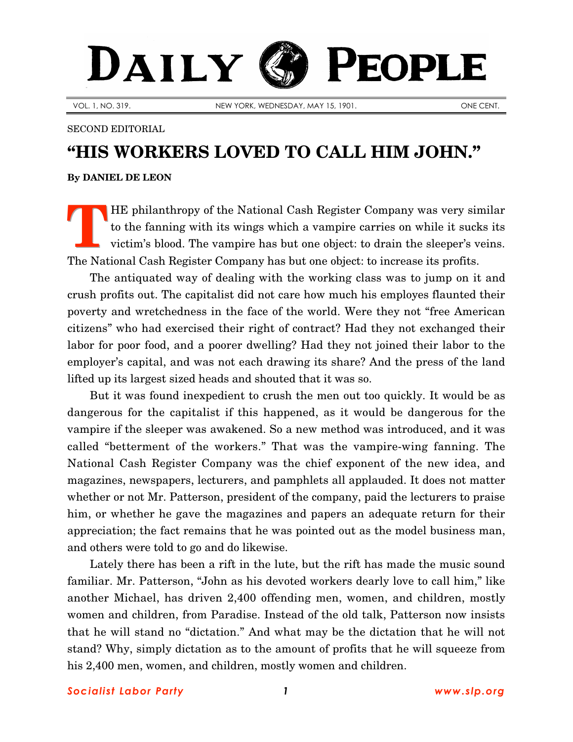## DAILY PEOPLE

VOL. 1, NO. 319. NEW YORK, WEDNESDAY, MAY 15, 1901. ONE CENT.

SECOND EDITORIAL

## **"HIS WORKERS LOVED TO CALL HIM JOHN."**

**By [DANIEL DE LEON](http://www.slp.org/De_Leon.htm)**

HE philanthropy of the National Cash Register Company was very similar to the fanning with its wings which a vampire carries on while it sucks its victim's blood. The vampire has but one object: to drain the sleeper's veins. The National Cash Register Company has but one object: to increase its profits. **T**

The antiquated way of dealing with the working class was to jump on it and crush profits out. The capitalist did not care how much his employes flaunted their poverty and wretchedness in the face of the world. Were they not "free American citizens" who had exercised their right of contract? Had they not exchanged their labor for poor food, and a poorer dwelling? Had they not joined their labor to the employer's capital, and was not each drawing its share? And the press of the land lifted up its largest sized heads and shouted that it was so.

But it was found inexpedient to crush the men out too quickly. It would be as dangerous for the capitalist if this happened, as it would be dangerous for the vampire if the sleeper was awakened. So a new method was introduced, and it was called "betterment of the workers." That was the vampire-wing fanning. The National Cash Register Company was the chief exponent of the new idea, and magazines, newspapers, lecturers, and pamphlets all applauded. It does not matter whether or not Mr. Patterson, president of the company, paid the lecturers to praise him, or whether he gave the magazines and papers an adequate return for their appreciation; the fact remains that he was pointed out as the model business man, and others were told to go and do likewise.

Lately there has been a rift in the lute, but the rift has made the music sound familiar. Mr. Patterson, "John as his devoted workers dearly love to call him," like another Michael, has driven 2,400 offending men, women, and children, mostly women and children, from Paradise. Instead of the old talk, Patterson now insists that he will stand no "dictation." And what may be the dictation that he will not stand? Why, simply dictation as to the amount of profits that he will squeeze from his 2,400 men, women, and children, mostly women and children.

*Socialist Labor Party 1 [www.slp.org](http://www.slp.org/)*